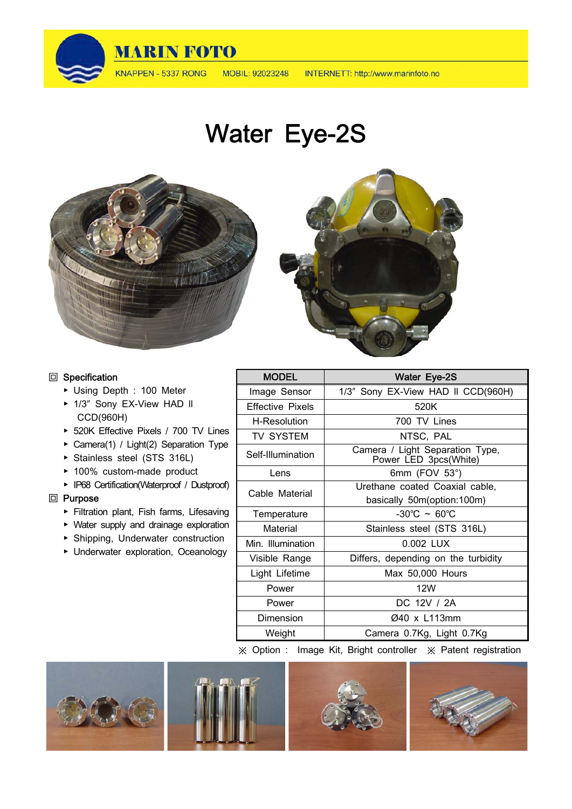

INTERNETT: http://www.marinfoto.no

Water Eye-2S



#### **回** Specification

- ▶ Using Depth : 100 Meter
- ▶ 1/3" Sony EX-View HAD II CCD(960H)
- ▶ 520K Effective Pixels / 700 TV Lines
- ▶ Camera(1) / Light(2) Separation Type
- ▶ Stainless steel (STS 316L)
- ▶ 100% custom-made product
- ▶ IP68 Certification(Waterproof / Dustproof)

#### **回** Purpose

- ▶ Filtration plant, Fish farms, Lifesaving
- ▶ Water supply and drainage exploration
- ▶ Shipping, Underwater construction
- ▶ Underwater exploration, Oceanology

| <b>MODEL</b>            | Water Eye-2S                                             |
|-------------------------|----------------------------------------------------------|
| Image Sensor            | 1/3" Sony EX-View HAD II CCD(960H)                       |
| <b>Effective Pixels</b> | 520K                                                     |
| H-Resolution            | 700 TV Lines                                             |
| <b>TV SYSTEM</b>        | NTSC, PAL                                                |
| Self-Illumination       | Camera / Light Separation Type,<br>Power LED 3pcs(White) |
| Lens                    | 6mm (FOV 53°)                                            |
| Cable Material          | Urethane coated Coaxial cable,                           |
|                         | basically 50m (option: 100m)                             |
| Temperature             | $-30^{\circ}$ C ~ 60 $^{\circ}$ C                        |
| Material                | Stainless steel (STS 316L)                               |
| Min. Illumination       | 0.002 LUX                                                |
| Visible Range           | Differs, depending on the turbidity                      |
| Light Lifetime          | Max 50,000 Hours                                         |
| Power                   | 12W                                                      |
| Power                   | DC 12V / 2A                                              |
| Dimension               | Ø40 x L113mm                                             |
| Weight                  | Camera 0.7Kg, Light 0.7Kg                                |

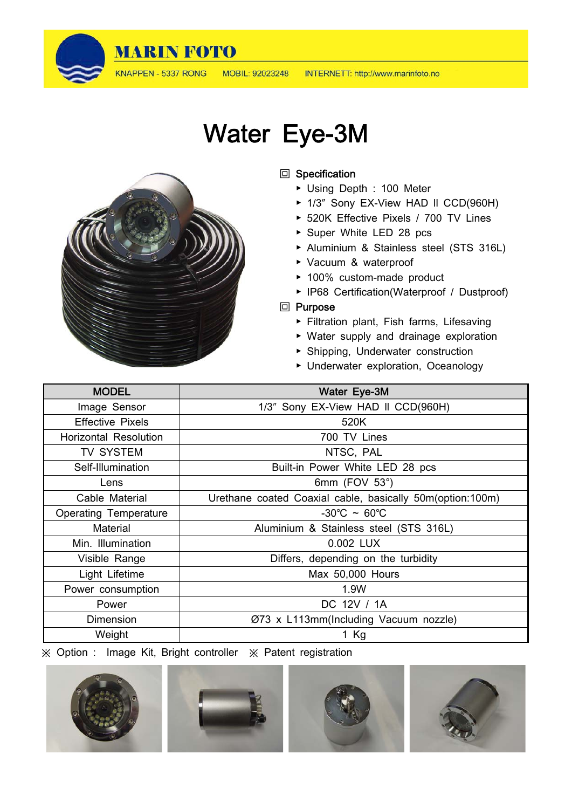

MOBIL: 92023248

## Water Eye-3M



## **回** Specification

- ▶ Using Depth : 100 Meter
- ▶ 1/3" Sony EX-View HAD II CCD(960H)
- ▶ 520K Effective Pixels / 700 TV Lines
- ▶ Super White LED 28 pcs
- ▶ Aluminium & Stainless steel (STS 316L)
- ▶ Vacuum & waterproof
- ▶ 100% custom-made product
- ▶ IP68 Certification(Waterproof / Dustproof)

#### **回** Purpose

- ▶ Filtration plant, Fish farms, Lifesaving
- ▶ Water supply and drainage exploration
- ▶ Shipping, Underwater construction
- ▶ Underwater exploration, Oceanology

| <b>MODEL</b>                 | Water Eye-3M                                               |
|------------------------------|------------------------------------------------------------|
| Image Sensor                 | 1/3" Sony EX-View HAD II CCD(960H)                         |
| <b>Effective Pixels</b>      | 520K                                                       |
| <b>Horizontal Resolution</b> | 700 TV Lines                                               |
| TV SYSTEM                    | NTSC, PAL                                                  |
| Self-Illumination            | Built-in Power White LED 28 pcs                            |
| Lens                         | 6mm (FOV $53^\circ$ )                                      |
| Cable Material               | Urethane coated Coaxial cable, basically 50m (option:100m) |
| <b>Operating Temperature</b> | $-30^{\circ}$ C ~ 60 $^{\circ}$ C                          |
| Material                     | Aluminium & Stainless steel (STS 316L)                     |
| Min. Illumination            | 0.002 LUX                                                  |
| Visible Range                | Differs, depending on the turbidity                        |
| Light Lifetime               | Max 50,000 Hours                                           |
| Power consumption            | 1.9W                                                       |
| Power                        | DC 12V / 1A                                                |
| <b>Dimension</b>             | Ø73 x L113mm(Including Vacuum nozzle)                      |
| Weight                       | 1 $Kg$                                                     |







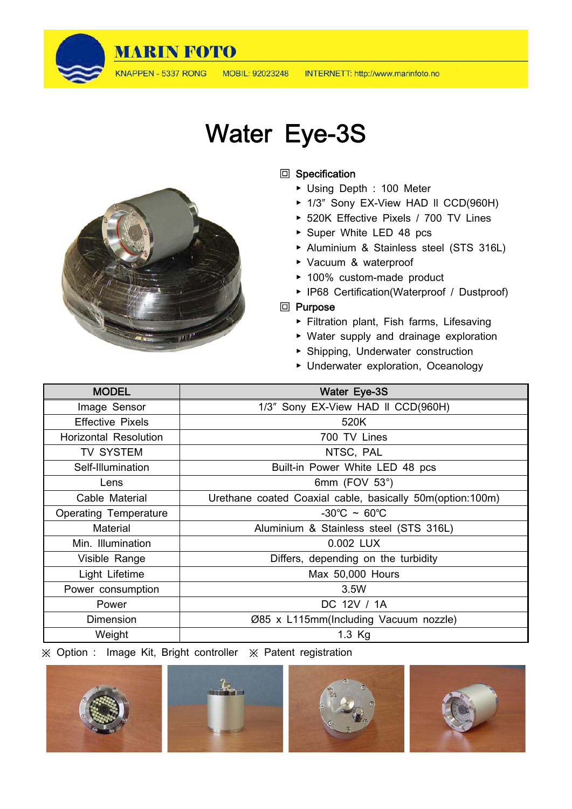

KNAPPEN - 5337 RONG

# Water Eye-3S

### **回** Specification

- ▶ Using Depth : 100 Meter
- ▶ 1/3" Sony EX-View HAD II CCD(960H)
- ▶ 520K Effective Pixels / 700 TV Lines
- ▶ Super White LED 48 pcs
- ▶ Aluminium & Stainless steel (STS 316L)
- ▶ Vacuum & waterproof
- ▶ 100% custom-made product
- ▶ IP68 Certification(Waterproof / Dustproof)

#### **回** Purpose

- ▶ Filtration plant, Fish farms, Lifesaving
- ▶ Water supply and drainage exploration
- ▶ Shipping, Underwater construction
- ▶ Underwater exploration, Oceanology

| <b>MODEL</b>                 | Water Eye-3S                                              |
|------------------------------|-----------------------------------------------------------|
| Image Sensor                 | 1/3" Sony EX-View HAD II CCD(960H)                        |
| <b>Effective Pixels</b>      | 520K                                                      |
| <b>Horizontal Resolution</b> | 700 TV Lines                                              |
| <b>TV SYSTEM</b>             | NTSC, PAL                                                 |
| Self-Illumination            | Built-in Power White LED 48 pcs                           |
| Lens                         | 6mm (FOV $53^\circ$ )                                     |
| Cable Material               | Urethane coated Coaxial cable, basically 50m(option:100m) |
| <b>Operating Temperature</b> | $-30^{\circ}$ C ~ 60 $^{\circ}$ C                         |
| Material                     | Aluminium & Stainless steel (STS 316L)                    |
| Min. Illumination            | 0.002 LUX                                                 |
| Visible Range                | Differs, depending on the turbidity                       |
| Light Lifetime               | Max 50,000 Hours                                          |
| Power consumption            | 3.5W                                                      |
| Power                        | DC 12V / 1A                                               |
| Dimension                    | Ø85 x L115mm(Including Vacuum nozzle)                     |
| Weight                       | 1.3 Kg                                                    |





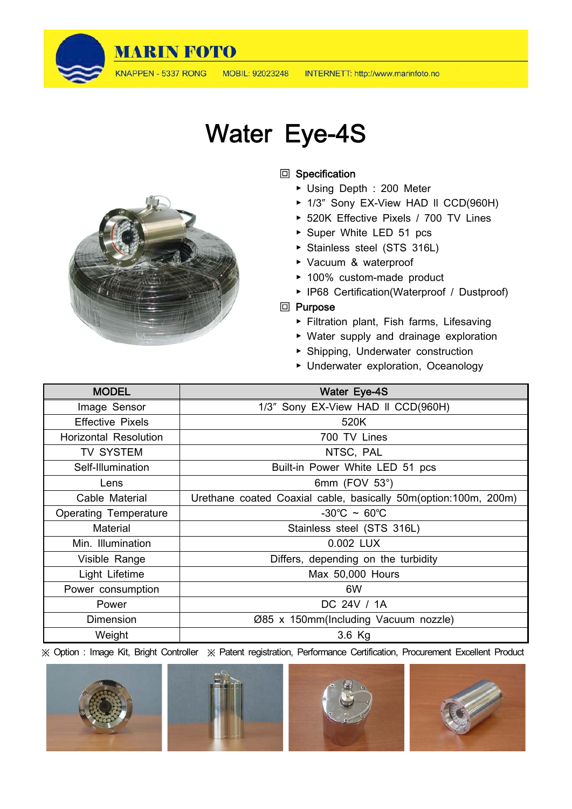

KNAPPEN - 5337 RONG

## Water Eye-4S

## **回** Specification

- ▶ Using Depth : 200 Meter
- ▶ 1/3" Sony EX-View HAD II CCD(960H)
- ▶ 520K Effective Pixels / 700 TV Lines
- ▶ Super White LED 51 pcs
- ▶ Stainless steel (STS 316L)
- ▶ Vacuum & waterproof
- ▶ 100% custom-made product
- ▶ IP68 Certification(Waterproof / Dustproof)

#### **回** Purpose

- ▶ Filtration plant, Fish farms, Lifesaving
- ▶ Water supply and drainage exploration
- ▶ Shipping, Underwater construction
- ▶ Underwater exploration, Oceanology

| <b>MODEL</b>                 | Water Eye-4S                                                      |
|------------------------------|-------------------------------------------------------------------|
| Image Sensor                 | 1/3" Sony EX-View HAD II CCD(960H)                                |
| <b>Effective Pixels</b>      | 520K                                                              |
| <b>Horizontal Resolution</b> | 700 TV Lines                                                      |
| <b>TV SYSTEM</b>             | NTSC, PAL                                                         |
| Self-Illumination            | Built-in Power White LED 51 pcs                                   |
| Lens                         | 6mm (FOV 53°)                                                     |
| Cable Material               | Urethane coated Coaxial cable, basically 50m (option: 100m, 200m) |
| <b>Operating Temperature</b> | $-30^{\circ}$ C ~ 60 $^{\circ}$ C                                 |
| Material                     | Stainless steel (STS 316L)                                        |
| Min. Illumination            | 0.002 LUX                                                         |
| Visible Range                | Differs, depending on the turbidity                               |
| Light Lifetime               | Max 50,000 Hours                                                  |
| Power consumption            | 6W                                                                |
| Power                        | DC 24V / 1A                                                       |
| Dimension                    | Ø85 x 150mm(Including Vacuum nozzle)                              |
| Weight                       | $3.6$ Kg                                                          |

※ Option : Image Kit, Bright Controller ※ Patent registration, Performance Certification, Procurement Excellent Product









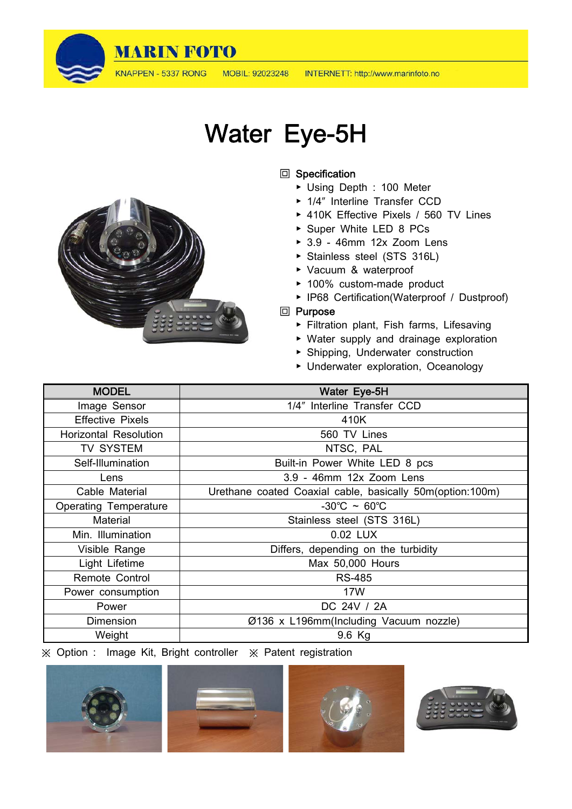

KNAPPEN - 5337 RONG MOBIL: 92023248

## Water Eye-5H

## **回** Specification

- ▶ Using Depth : 100 Meter
- ▶ 1/4″ Interline Transfer CCD
- ▶ 410K Effective Pixels / 560 TV Lines
- ▶ Super White LED 8 PCs
- ▶ 3.9 46mm 12x Zoom Lens
- ▶ Stainless steel (STS 316L)
- ▶ Vacuum & waterproof
- ▶ 100% custom-made product
- ▶ IP68 Certification(Waterproof / Dustproof)

## **回** Purpose

- ▶ Filtration plant, Fish farms, Lifesaving
- ▶ Water supply and drainage exploration
- ▶ Shipping, Underwater construction
- ▶ Underwater exploration, Oceanology

| <b>MODEL</b>                 | Water Eye-5H                                              |
|------------------------------|-----------------------------------------------------------|
| Image Sensor                 | 1/4" Interline Transfer CCD                               |
| <b>Effective Pixels</b>      | 410K                                                      |
| <b>Horizontal Resolution</b> | 560 TV Lines                                              |
| <b>TV SYSTEM</b>             | NTSC, PAL                                                 |
| Self-Illumination            | Built-in Power White LED 8 pcs                            |
| Lens                         | 3.9 - 46mm 12x Zoom Lens                                  |
| Cable Material               | Urethane coated Coaxial cable, basically 50m(option:100m) |
| <b>Operating Temperature</b> | $-30^{\circ}$ C ~ 60 $^{\circ}$ C                         |
| <b>Material</b>              | Stainless steel (STS 316L)                                |
| Min. Illumination            | 0.02 LUX                                                  |
| Visible Range                | Differs, depending on the turbidity                       |
| Light Lifetime               | Max 50,000 Hours                                          |
| Remote Control               | <b>RS-485</b>                                             |
| Power consumption            | 17W                                                       |
| Power                        | DC 24V / 2A                                               |
| Dimension                    | Ø136 x L196mm(Including Vacuum nozzle)                    |
| Weight                       | 9.6 Kg                                                    |









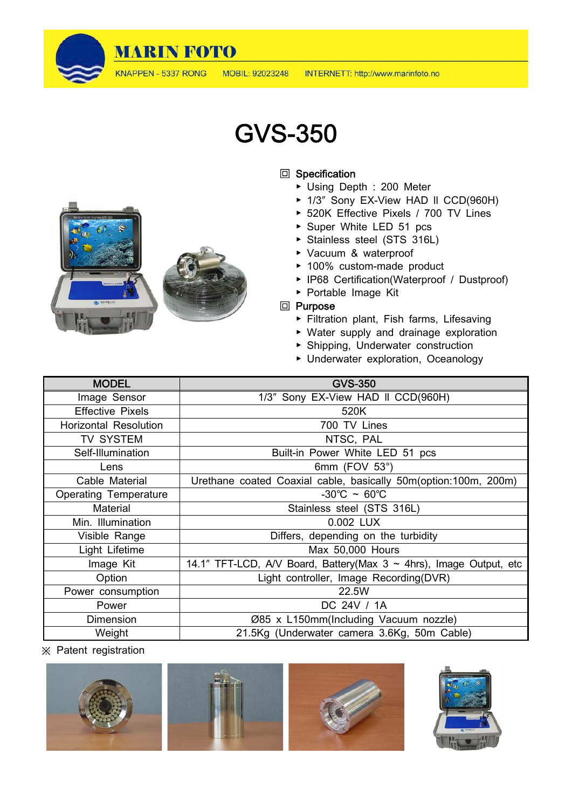

## GVS-350

### **回 Specification**

- ▶ Using Depth : 200 Meter
- ▶ 1/3" Sony EX-View HAD II CCD(960H)
- ▶ 520K Effective Pixels / 700 TV Lines
- ▶ Super White LED 51 pcs
- ▶ Stainless steel (STS 316L)
- ▶ Vacuum & waterproof
- ▶ 100% custom-made product
- ▶ IP68 Certification(Waterproof / Dustproof)
- ▶ Portable Image Kit

### **回** Purpose

- ▶ Filtration plant, Fish farms, Lifesaving
- ▶ Water supply and drainage exploration
- ▶ Shipping, Underwater construction
- ▶ Underwater exploration, Oceanology

| <b>MODEL</b>                 | <b>GVS-350</b>                                                           |
|------------------------------|--------------------------------------------------------------------------|
| Image Sensor                 | 1/3" Sony EX-View HAD II CCD(960H)                                       |
| <b>Effective Pixels</b>      | 520K                                                                     |
| <b>Horizontal Resolution</b> | 700 TV Lines                                                             |
| TV SYSTEM                    | NTSC, PAL                                                                |
| Self-Illumination            | Built-in Power White LED 51 pcs                                          |
| Lens                         | 6mm (FOV $53^\circ$ )                                                    |
| Cable Material               | Urethane coated Coaxial cable, basically 50m(option:100m, 200m)          |
| <b>Operating Temperature</b> | $-30^{\circ}$ C ~ 60 $^{\circ}$ C                                        |
| Material                     | Stainless steel (STS 316L)                                               |
| Min. Illumination            | 0.002 LUX                                                                |
| Visible Range                | Differs, depending on the turbidity                                      |
| Light Lifetime               | Max 50,000 Hours                                                         |
| Image Kit                    | 14.1" TFT-LCD, A/V Board, Battery(Max $3 \sim 4$ hrs), Image Output, etc |
| Option                       | Light controller, Image Recording(DVR)                                   |
| Power consumption            | 22.5W                                                                    |
| Power                        | DC 24V / 1A                                                              |
| <b>Dimension</b>             | Ø85 x L150mm(Including Vacuum nozzle)                                    |
| Weight                       | 21.5Kg (Underwater camera 3.6Kg, 50m Cable)                              |

※ Patent registration